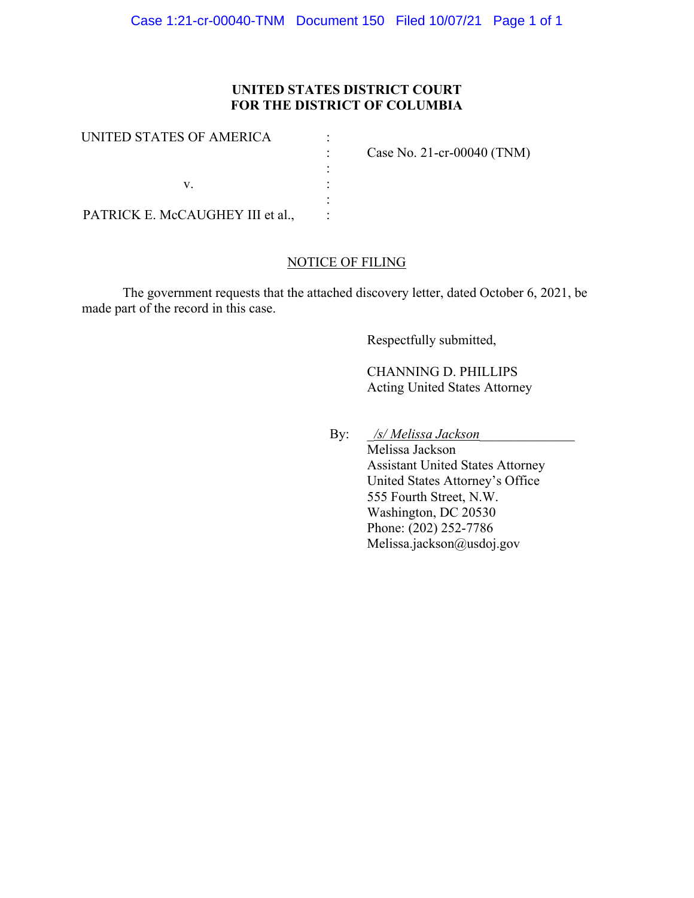# **UNITED STATES DISTRICT COURT FOR THE DISTRICT OF COLUMBIA**

| UNITED STATES OF AMERICA         | Case No. 21-cr-00040 $(TNM)$ |
|----------------------------------|------------------------------|
|                                  |                              |
| PATRICK E. McCAUGHEY III et al., |                              |

## NOTICE OF FILING

The government requests that the attached discovery letter, dated October 6, 2021, be made part of the record in this case.

Respectfully submitted,

CHANNING D. PHILLIPS Acting United States Attorney

By: \_*/s/ Melissa Jackson*\_\_\_\_\_\_\_\_\_\_\_\_\_\_

Melissa Jackson Assistant United States Attorney United States Attorney's Office 555 Fourth Street, N.W. Washington, DC 20530 Phone: (202) 252-7786 Melissa.jackson@usdoj.gov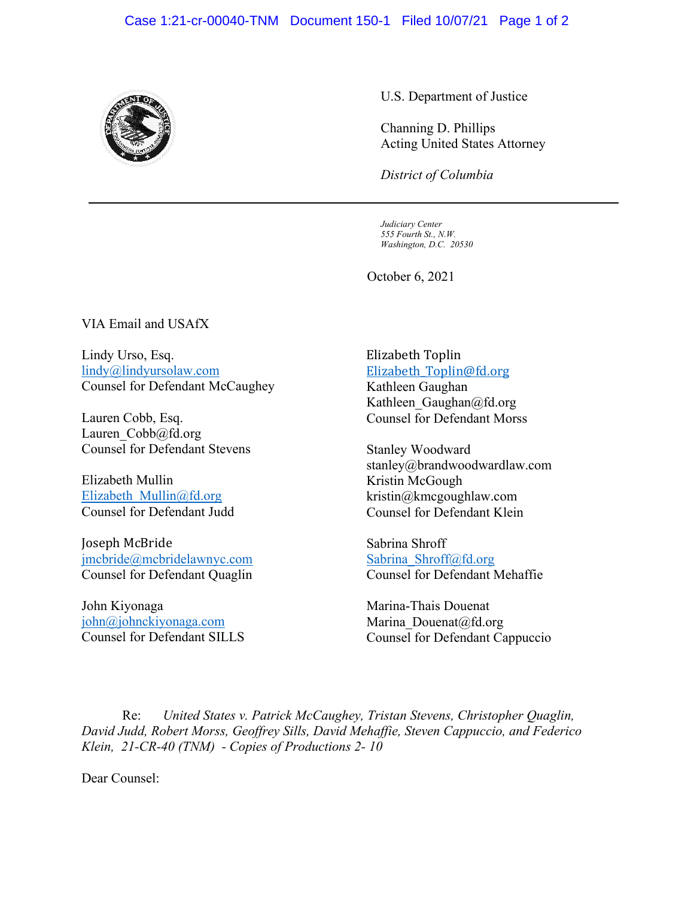#### Case 1:21-cr-00040-TNM Document 150-1 Filed 10/07/21 Page 1 of 2



U.S. Department of Justice

Channing D. Phillips Acting United States Attorney

*District of Columbia*

*Judiciary Center 555 Fourth St., N.W. Washington, D.C. 20530*

October 6, 2021

VIA Email and USAfX

Lindy Urso, Esq. lindy@lindyursolaw.com Counsel for Defendant McCaughey

Lauren Cobb, Esq. Lauren\_Cobb@fd.org Counsel for Defendant Stevens

Elizabeth Mullin Elizabeth Mullin@fd.org Counsel for Defendant Judd

Joseph McBride jmcbride@mcbridelawnyc.com Counsel for Defendant Quaglin

John Kiyonaga john@johnckiyonaga.com Counsel for Defendant SILLS

### Elizabeth Toplin Elizabeth\_Toplin@fd.org

Kathleen Gaughan Kathleen Gaughan@fd.org Counsel for Defendant Morss

Stanley Woodward stanley@brandwoodwardlaw.com Kristin McGough kristin@kmcgoughlaw.com Counsel for Defendant Klein

Sabrina Shroff Sabrina Shroff@fd.org Counsel for Defendant Mehaffie

Marina-Thais Douenat Marina Douenat@fd.org Counsel for Defendant Cappuccio

Re: *United States v. Patrick McCaughey, Tristan Stevens, Christopher Quaglin, David Judd, Robert Morss, Geoffrey Sills, David Mehaffie, Steven Cappuccio, and Federico Klein, 21-CR-40 (TNM) - Copies of Productions 2- 10*

Dear Counsel: